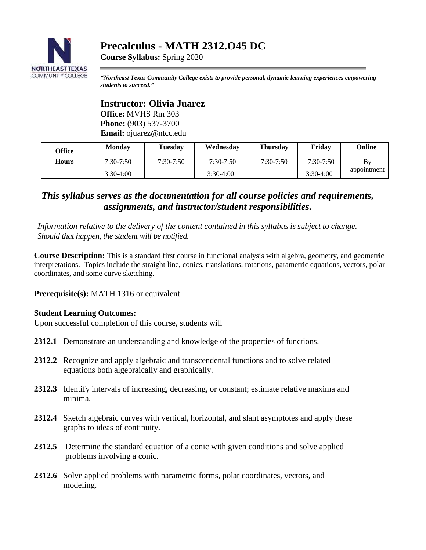

# **Precalculus - MATH 2312.O45 DC**

**Course Syllabus:** Spring 2020

*"Northeast Texas Community College exists to provide personal, dynamic learning experiences empowering students to succeed."*

**Instructor: Olivia Juarez Office:** MVHS Rm 303 **Phone:** (903) 537-3700 **Email:** ojuarez@ntcc.edu

| Office | <b>Monday</b> | <b>Tuesday</b> | Wednesday     | <b>Thursday</b> | Fridav      | <b>Online</b> |
|--------|---------------|----------------|---------------|-----------------|-------------|---------------|
| Hours  | 7:30-7:50     | $7:30 - 7:50$  | $7:30 - 7:50$ | $7:30-7:50$     | $7:30-7:50$ | Bv            |
|        | $3:30-4:00$   |                | $3:30-4:00$   |                 | $3:30-4:00$ | appointment   |

# *This syllabus serves as the documentation for all course policies and requirements, assignments, and instructor/student responsibilities.*

*Information relative to the delivery of the content contained in this syllabus is subject to change. Should that happen, the student will be notified.*

**Course Description:** This is a standard first course in functional analysis with algebra, geometry, and geometric interpretations. Topics include the straight line, conics, translations, rotations, parametric equations, vectors, polar coordinates, and some curve sketching.

**Prerequisite(s):** MATH 1316 or equivalent

## **Student Learning Outcomes:**

Upon successful completion of this course, students will

- **2312.1** Demonstrate an understanding and knowledge of the properties of functions.
- **2312.2** Recognize and apply algebraic and transcendental functions and to solve related equations both algebraically and graphically.
- **2312.3** Identify intervals of increasing, decreasing, or constant; estimate relative maxima and minima.
- **2312.4** Sketch algebraic curves with vertical, horizontal, and slant asymptotes and apply these graphs to ideas of continuity.
- **2312.5** Determine the standard equation of a conic with given conditions and solve applied problems involving a conic.
- **2312.6** Solve applied problems with parametric forms, polar coordinates, vectors, and modeling.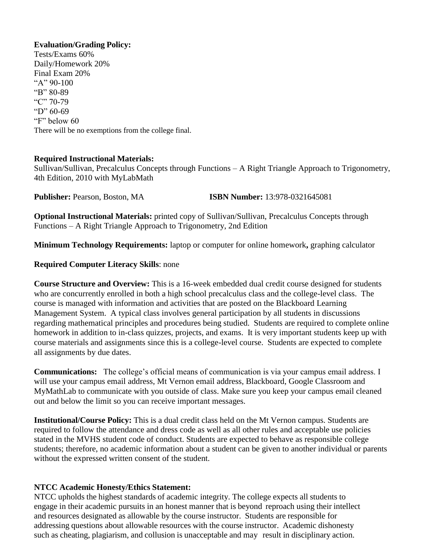#### **Evaluation/Grading Policy:**

Tests/Exams 60% Daily/Homework 20% Final Exam 20% "A"  $90-100$ "B" 80-89 "C" 70-79 "D" 60-69 "F" below 60 There will be no exemptions from the college final.

#### **Required Instructional Materials:**

Sullivan/Sullivan, Precalculus Concepts through Functions – A Right Triangle Approach to Trigonometry, 4th Edition, 2010 with MyLabMath

**Publisher:** Pearson, Boston, MA **ISBN Number:** 13:978-0321645081

**Optional Instructional Materials:** printed copy of Sullivan/Sullivan, Precalculus Concepts through Functions – A Right Triangle Approach to Trigonometry, 2nd Edition

**Minimum Technology Requirements:** laptop or computer for online homework**,** graphing calculator

#### **Required Computer Literacy Skills**: none

**Course Structure and Overview:** This is a 16-week embedded dual credit course designed for students who are concurrently enrolled in both a high school precalculus class and the college-level class. The course is managed with information and activities that are posted on the Blackboard Learning Management System. A typical class involves general participation by all students in discussions regarding mathematical principles and procedures being studied. Students are required to complete online homework in addition to in-class quizzes, projects, and exams. It is very important students keep up with course materials and assignments since this is a college-level course. Students are expected to complete all assignments by due dates.

**Communications:** The college's official means of communication is via your campus email address. I will use your campus email address, Mt Vernon email address, Blackboard, Google Classroom and MyMathLab to communicate with you outside of class. Make sure you keep your campus email cleaned out and below the limit so you can receive important messages.

**Institutional/Course Policy:** This is a dual credit class held on the Mt Vernon campus. Students are required to follow the attendance and dress code as well as all other rules and acceptable use policies stated in the MVHS student code of conduct. Students are expected to behave as responsible college students; therefore, no academic information about a student can be given to another individual or parents without the expressed written consent of the student.

## **NTCC Academic Honesty/Ethics Statement:**

NTCC upholds the highest standards of academic integrity. The college expects all students to engage in their academic pursuits in an honest manner that is beyond reproach using their intellect and resources designated as allowable by the course instructor. Students are responsible for addressing questions about allowable resources with the course instructor. Academic dishonesty such as cheating, plagiarism, and collusion is unacceptable and may result in disciplinary action.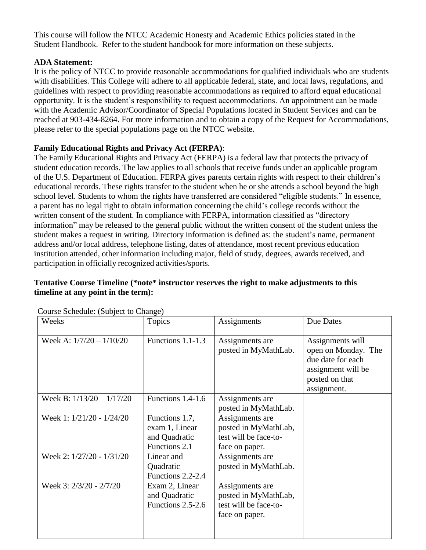This course will follow the NTCC Academic Honesty and Academic Ethics policies stated in the Student Handbook. Refer to the student handbook for more information on these subjects.

# **ADA Statement:**

It is the policy of NTCC to provide reasonable accommodations for qualified individuals who are students with disabilities. This College will adhere to all applicable federal, state, and local laws, regulations, and guidelines with respect to providing reasonable accommodations as required to afford equal educational opportunity. It is the student's responsibility to request accommodations. An appointment can be made with the Academic Advisor/Coordinator of Special Populations located in Student Services and can be reached at 903-434-8264. For more information and to obtain a copy of the Request for Accommodations, please refer to the special populations page on the NTCC websit[e.](http://www.ntcc.edu/index.php?module=Pagesetter&func=viewpub&tid=111&pid=1) 

# **Family Educational Rights and Privacy Act (FERPA)**:

The Family Educational Rights and Privacy Act (FERPA) is a federal law that protects the privacy of student education records. The law applies to all schools that receive funds under an applicable program of the U.S. Department of Education. FERPA gives parents certain rights with respect to their children's educational records. These rights transfer to the student when he or she attends a school beyond the high school level. Students to whom the rights have transferred are considered "eligible students." In essence, a parent has no legal right to obtain information concerning the child's college records without the written consent of the student. In compliance with FERPA, information classified as "directory information" may be released to the general public without the written consent of the student unless the student makes a request in writing. Directory information is defined as: the student's name, permanent address and/or local address, telephone listing, dates of attendance, most recent previous education institution attended, other information including major, field of study, degrees, awards received, and participation in officially recognized activities/sports.

# **Tentative Course Timeline (\*note\* instructor reserves the right to make adjustments to this timeline at any point in the term):**

| Weeks                       | Topics                                                             | Assignments                                                                        | Due Dates                                                                                                           |
|-----------------------------|--------------------------------------------------------------------|------------------------------------------------------------------------------------|---------------------------------------------------------------------------------------------------------------------|
| Week A: $1/7/20 - 1/10/20$  | Functions 1.1-1.3                                                  | Assignments are<br>posted in MyMathLab.                                            | Assignments will<br>open on Monday. The<br>due date for each<br>assignment will be<br>posted on that<br>assignment. |
| Week B: $1/13/20 - 1/17/20$ | Functions 1.4-1.6                                                  | Assignments are<br>posted in MyMathLab.                                            |                                                                                                                     |
| Week 1: 1/21/20 - 1/24/20   | Functions 1.7,<br>exam 1, Linear<br>and Quadratic<br>Functions 2.1 | Assignments are<br>posted in MyMathLab,<br>test will be face-to-<br>face on paper. |                                                                                                                     |
| Week 2: 1/27/20 - 1/31/20   | Linear and<br>Quadratic<br>Functions 2.2-2.4                       | Assignments are<br>posted in MyMathLab.                                            |                                                                                                                     |
| Week 3: 2/3/20 - 2/7/20     | Exam 2, Linear<br>and Quadratic<br>Functions 2.5-2.6               | Assignments are<br>posted in MyMathLab,<br>test will be face-to-<br>face on paper. |                                                                                                                     |

Course Schedule: (Subject to Change)